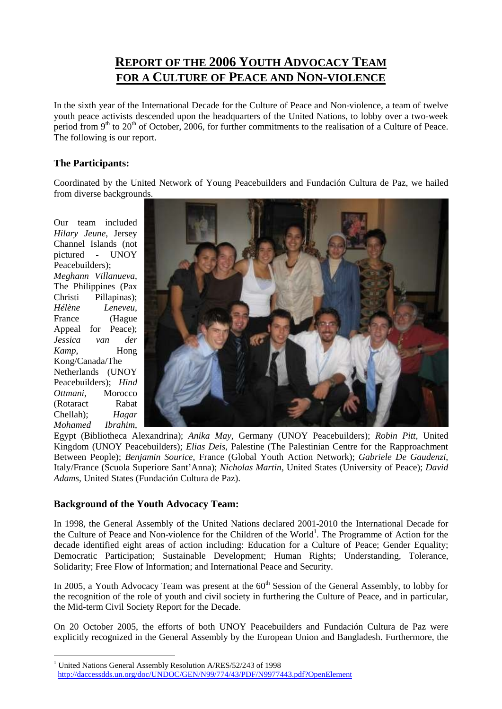# **REPORT OF THE 2006 YOUTH ADVOCACY TEAM FOR A CULTURE OF PEACE AND NON-VIOLENCE**

In the sixth year of the International Decade for the Culture of Peace and Non-violence, a team of twelve youth peace activists descended upon the headquarters of the United Nations, to lobby over a two-week period from 9<sup>th</sup> to 20<sup>th</sup> of October, 2006, for further commitments to the realisation of a Culture of Peace. The following is our report.

# **The Participants:**

Coordinated by the United Network of Young Peacebuilders and Fundación Cultura de Paz, we hailed from diverse backgrounds.

Our team included *Hilary Jeune*, Jersey Channel Islands (not pictured - UNOY Peacebuilders); *Meghann Villanueva*, The Philippines (Pax Christi Pillapinas); *Hélène Leneveu*, France (Hague Appeal for Peace); *Jessica van der Kamp*, Hong Kong/Canada/The Netherlands (UNOY Peacebuilders); *Hind Ottmani*, Morocco (Rotaract Rabat Chellah); *Hagar Mohamed Ibrahim*,

 $\overline{a}$ 



Egypt (Bibliotheca Alexandrina); *Anika May*, Germany (UNOY Peacebuilders); *Robin Pitt*, United Kingdom (UNOY Peacebuilders); *Elias Deis*, Palestine (The Palestinian Centre for the Rapproachment Between People); *Benjamin Sourice*, France (Global Youth Action Network); *Gabriele De Gaudenzi*, Italy/France (Scuola Superiore Sant'Anna); *Nicholas Martin*, United States (University of Peace); *David Adams*, United States (Fundación Cultura de Paz).

## **Background of the Youth Advocacy Team:**

In 1998, the General Assembly of the United Nations declared 2001-2010 the International Decade for the Culture of Peace and Non-violence for the Children of the World<sup>1</sup>. The Programme of Action for the decade identified eight areas of action including: Education for a Culture of Peace; Gender Equality; Democratic Participation; Sustainable Development; Human Rights; Understanding, Tolerance, Solidarity; Free Flow of Information; and International Peace and Security.

In 2005, a Youth Advocacy Team was present at the  $60<sup>th</sup>$  Session of the General Assembly, to lobby for the recognition of the role of youth and civil society in furthering the Culture of Peace, and in particular, the Mid-term Civil Society Report for the Decade.

On 20 October 2005, the efforts of both UNOY Peacebuilders and Fundación Cultura de Paz were explicitly recognized in the General Assembly by the European Union and Bangladesh. Furthermore, the

<sup>&</sup>lt;sup>1</sup> United Nations General Assembly Resolution A/RES/52/243 of 1998 http://daccessdds.un.org/doc/UNDOC/GEN/N99/774/43/PDF/N9977443.pdf?OpenElement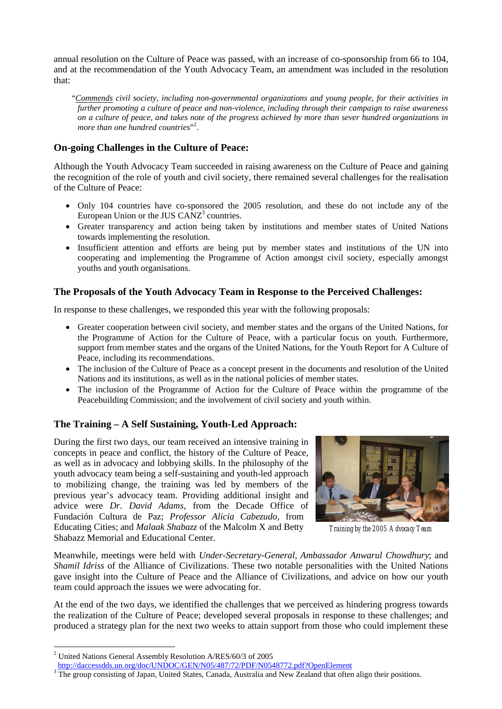annual resolution on the Culture of Peace was passed, with an increase of co-sponsorship from 66 to 104, and at the recommendation of the Youth Advocacy Team, an amendment was included in the resolution that:

"*Commends civil society, including non-governmental organizations and young people, for their activities in further promoting a culture of peace and non-violence, including through their campaign to raise awareness on a culture of peace, and takes note of the progress achieved by more than sever hundred organizations in more than one hundred countries*"<sup>2</sup> .

## **On-going Challenges in the Culture of Peace:**

Although the Youth Advocacy Team succeeded in raising awareness on the Culture of Peace and gaining the recognition of the role of youth and civil society, there remained several challenges for the realisation of the Culture of Peace:

- Only 104 countries have co-sponsored the 2005 resolution, and these do not include any of the European Union or the JUS  $CANZ<sup>3</sup>$  countries.
- Greater transparency and action being taken by institutions and member states of United Nations towards implementing the resolution.
- Insufficient attention and efforts are being put by member states and institutions of the UN into cooperating and implementing the Programme of Action amongst civil society, especially amongst youths and youth organisations.

## **The Proposals of the Youth Advocacy Team in Response to the Perceived Challenges:**

In response to these challenges, we responded this year with the following proposals:

- Greater cooperation between civil society, and member states and the organs of the United Nations, for the Programme of Action for the Culture of Peace, with a particular focus on youth. Furthermore, support from member states and the organs of the United Nations, for the Youth Report for A Culture of Peace, including its recommendations.
- The inclusion of the Culture of Peace as a concept present in the documents and resolution of the United Nations and its institutions, as well as in the national policies of member states.
- The inclusion of the Programme of Action for the Culture of Peace within the programme of the Peacebuilding Commission; and the involvement of civil society and youth within.

#### **The Training – A Self Sustaining, Youth-Led Approach:**

During the first two days, our team received an intensive training in concepts in peace and conflict, the history of the Culture of Peace, as well as in advocacy and lobbying skills. In the philosophy of the youth advocacy team being a self-sustaining and youth-led approach to mobilizing change, the training was led by members of the previous year's advocacy team. Providing additional insight and advice were *Dr*. *David Adams*, from the Decade Office of Fundación Cultura de Paz; *Professor Alicia Cabezudo*, from Educating Cities; and *Malaak Shabazz* of the Malcolm X and Betty Shabazz Memorial and Educational Center.



 *Training by the 2005 Advocacy Team*

Meanwhile, meetings were held with *Under-Secretary-General, Ambassador Anwarul Chowdhury*; and *Shamil Idriss* of the Alliance of Civilizations. These two notable personalities with the United Nations gave insight into the Culture of Peace and the Alliance of Civilizations, and advice on how our youth team could approach the issues we were advocating for.

At the end of the two days, we identified the challenges that we perceived as hindering progress towards the realization of the Culture of Peace; developed several proposals in response to these challenges; and produced a strategy plan for the next two weeks to attain support from those who could implement these

 $\overline{a}$ 

<sup>2</sup> United Nations General Assembly Resolution A/RES/60/3 of 2005

http://daccessdds.un.org/doc/UNDOC/GEN/N05/487/72/PDF/N0548772.pdf?OpenElement

<sup>&</sup>lt;sup>3</sup> The group consisting of Japan, United States, Canada, Australia and New Zealand that often align their positions.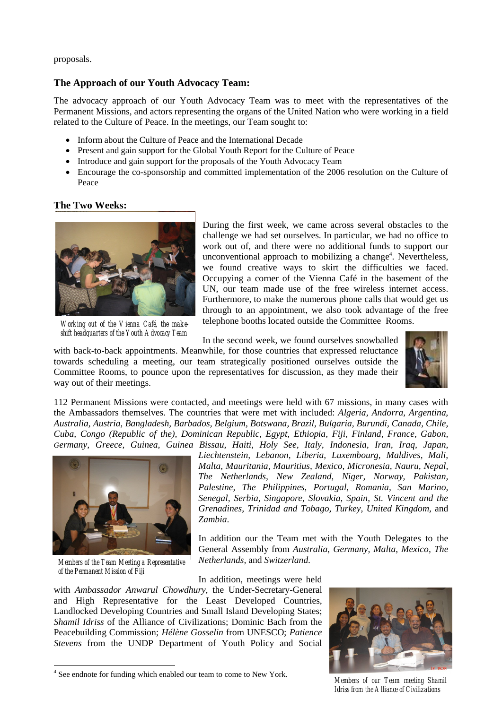proposals.

#### **The Approach of our Youth Advocacy Team:**

The advocacy approach of our Youth Advocacy Team was to meet with the representatives of the Permanent Missions, and actors representing the organs of the United Nation who were working in a field related to the Culture of Peace. In the meetings, our Team sought to:

- Inform about the Culture of Peace and the International Decade
- Present and gain support for the Global Youth Report for the Culture of Peace
- Introduce and gain support for the proposals of the Youth Advocacy Team
- Encourage the co-sponsorship and committed implementation of the 2006 resolution on the Culture of Peace

## **The Two Weeks:**



*Working out of the Vienna Café, the makeshift headquarters of the Youth Advocacy Team*

During the first week, we came across several obstacles to the challenge we had set ourselves. In particular, we had no office to work out of, and there were no additional funds to support our unconventional approach to mobilizing a change<sup>4</sup>. Nevertheless, we found creative ways to skirt the difficulties we faced. Occupying a corner of the Vienna Café in the basement of the UN, our team made use of the free wireless internet access. Furthermore, to make the numerous phone calls that would get us through to an appointment, we also took advantage of the free telephone booths located outside the Committee Rooms.

In the second week, we found ourselves snowballed

with back-to-back appointments. Meanwhile, for those countries that expressed reluctance towards scheduling a meeting, our team strategically positioned ourselves outside the Committee Rooms, to pounce upon the representatives for discussion, as they made their way out of their meetings.



112 Permanent Missions were contacted, and meetings were held with 67 missions, in many cases with the Ambassadors themselves. The countries that were met with included: *Algeria, Andorra, Argentina, Australia, Austria, Bangladesh, Barbados, Belgium, Botswana, Brazil, Bulgaria, Burundi, Canada, Chile, Cuba, Congo (Republic of the), Dominican Republic, Egypt, Ethiopia, Fiji, Finland, France, Gabon, Germany, Greece, Guinea, Guinea Bissau, Haiti, Holy See, Italy, Indonesia, Iran, Iraq, Japan,* 



*Members of the Team Meeting a Representative of the Permanent Mission of Fiji*

 $\overline{a}$ 

*Liechtenstein, Lebanon, Liberia, Luxembourg, Maldives, Mali, Malta, Mauritania, Mauritius, Mexico, Micronesia, Nauru, Nepal, The Netherlands, New Zealand, Niger, Norway, Pakistan, Palestine, The Philippines, Portugal, Romania, San Marino, Senegal, Serbia, Singapore, Slovakia, Spain, St. Vincent and the Grenadines, Trinidad and Tobago, Turkey, United Kingdom,* and *Zambia*.

In addition our the Team met with the Youth Delegates to the General Assembly from *Australia, Germany, Malta, Mexico, The Netherlands,* and *Switzerland*.

In addition, meetings were held

with *Ambassador Anwarul Chowdhury*, the Under-Secretary-General and High Representative for the Least Developed Countries, Landlocked Developing Countries and Small Island Developing States; *Shamil Idriss* of the Alliance of Civilizations; Dominic Bach from the Peacebuilding Commission; *Hélène Gosselin* from UNESCO; *Patience Stevens* from the UNDP Department of Youth Policy and Social





*Members of our Team meeting Shamil Idriss from the Alliance of Civilizations*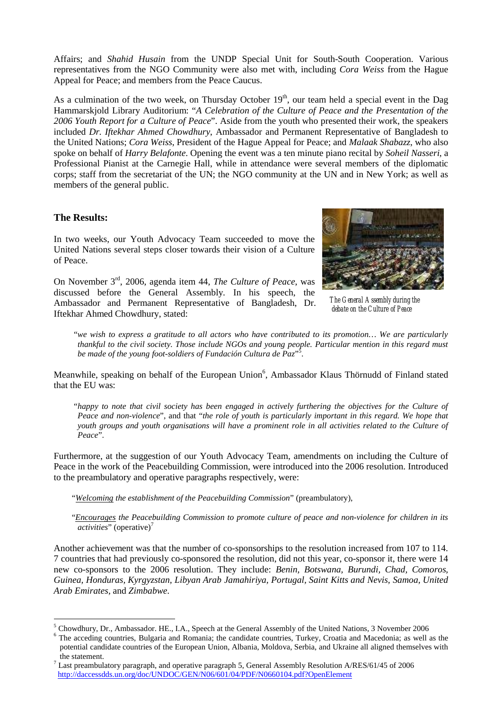Affairs; and *Shahid Husain* from the UNDP Special Unit for South-South Cooperation. Various representatives from the NGO Community were also met with, including *Cora Weiss* from the Hague Appeal for Peace; and members from the Peace Caucus.

As a culmination of the two week, on Thursday October  $19<sup>th</sup>$ , our team held a special event in the Dag Hammarskjold Library Auditorium: "*A Celebration of the Culture of Peace and the Presentation of the 2006 Youth Report for a Culture of Peace*". Aside from the youth who presented their work, the speakers included *Dr. Iftekhar Ahmed Chowdhury*, Ambassador and Permanent Representative of Bangladesh to the United Nations; *Cora Weiss*, President of the Hague Appeal for Peace; and *Malaak Shabazz*, who also spoke on behalf of *Harry Belafonte*. Opening the event was a ten minute piano recital by *Soheil Nasseri*, a Professional Pianist at the Carnegie Hall, while in attendance were several members of the diplomatic corps; staff from the secretariat of the UN; the NGO community at the UN and in New York; as well as members of the general public.

#### **The Results:**

 $\overline{a}$ 

In two weeks, our Youth Advocacy Team succeeded to move the United Nations several steps closer towards their vision of a Culture of Peace.

On November 3rd, 2006, agenda item 44, *The Culture of Peace*, was discussed before the General Assembly. In his speech, the Ambassador and Permanent Representative of Bangladesh, Dr. Iftekhar Ahmed Chowdhury, stated:



*The General Assembly during the debate on the Culture of Peace* 

 "*we wish to express a gratitude to all actors who have contributed to its promotion… We are particularly thankful to the civil society. Those include NGOs and young people. Particular mention in this regard must be made of the young foot-soldiers of Fundación Cultura de Paz*" 5 .

Meanwhile, speaking on behalf of the European Union<sup>6</sup>, Ambassador Klaus Thörnudd of Finland stated that the EU was:

 "*happy to note that civil society has been engaged in actively furthering the objectives for the Culture of Peace and non-violence*", and that "*the role of youth is particularly important in this regard. We hope that youth groups and youth organisations will have a prominent role in all activities related to the Culture of Peace*".

Furthermore, at the suggestion of our Youth Advocacy Team, amendments on including the Culture of Peace in the work of the Peacebuilding Commission, were introduced into the 2006 resolution. Introduced to the preambulatory and operative paragraphs respectively, were:

"*Welcoming the establishment of the Peacebuilding Commission*" (preambulatory),

"*Encourages the Peacebuilding Commission to promote culture of peace and non-violence for children in its activities*" (operative)<sup>7</sup>

Another achievement was that the number of co-sponsorships to the resolution increased from 107 to 114. 7 countries that had previously co-sponsored the resolution, did not this year, co-sponsor it, there were 14 new co-sponsors to the 2006 resolution. They include: *Benin, Botswana, Burundi, Chad, Comoros, Guinea, Honduras, Kyrgyzstan, Libyan Arab Jamahiriya, Portugal, Saint Kitts and Nevis, Samoa, United Arab Emirates,* and *Zimbabwe*.

<sup>5</sup> Chowdhury, Dr., Ambassador. HE., I.A., Speech at the General Assembly of the United Nations, 3 November 2006

<sup>&</sup>lt;sup>6</sup> The acceding countries, Bulgaria and Romania; the candidate countries, Turkey, Croatia and Macedonia; as well as the potential candidate countries of the European Union, Albania, Moldova, Serbia, and Ukraine all aligned themselves with

the statement.<br><sup>7</sup> Last preambulatory paragraph, and operative paragraph 5, General Assembly Resolution A/RES/61/45 of 2006 http://daccessdds.un.org/doc/UNDOC/GEN/N06/601/04/PDF/N0660104.pdf?OpenElement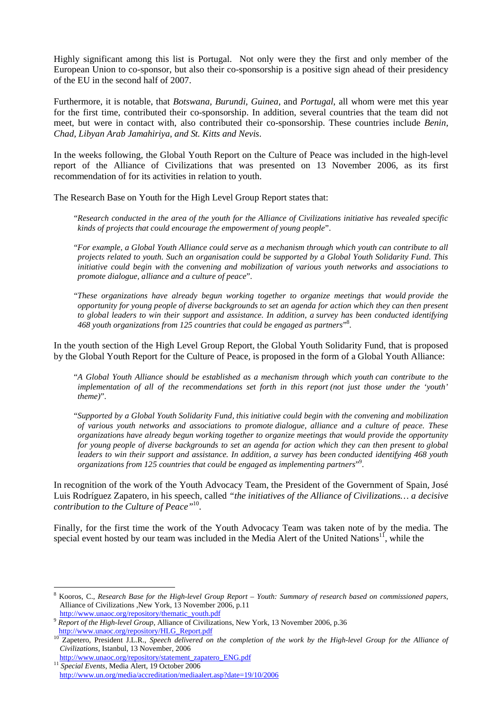Highly significant among this list is Portugal. Not only were they the first and only member of the European Union to co-sponsor, but also their co-sponsorship is a positive sign ahead of their presidency of the EU in the second half of 2007.

Furthermore, it is notable, that *Botswana, Burundi, Guinea,* and *Portugal*, all whom were met this year for the first time, contributed their co-sponsorship. In addition, several countries that the team did not meet, but were in contact with, also contributed their co-sponsorship. These countries include *Benin, Chad, Libyan Arab Jamahiriya, and St. Kitts and Nevis*.

In the weeks following, the Global Youth Report on the Culture of Peace was included in the high-level report of the Alliance of Civilizations that was presented on 13 November 2006, as its first recommendation of for its activities in relation to youth.

The Research Base on Youth for the High Level Group Report states that:

"*Research conducted in the area of the youth for the Alliance of Civilizations initiative has revealed specific kinds of projects that could encourage the empowerment of young people*".

"*For example, a Global Youth Alliance could serve as a mechanism through which youth can contribute to all projects related to youth. Such an organisation could be supported by a Global Youth Solidarity Fund. This initiative could begin with the convening and mobilization of various youth networks and associations to promote dialogue, alliance and a culture of peace*".

"*These organizations have already begun working together to organize meetings that would provide the opportunity for young people of diverse backgrounds to set an agenda for action which they can then present to global leaders to win their support and assistance. In addition, a survey has been conducted identifying 468 youth organizations from 125 countries that could be engaged as partners*" 8 .

In the youth section of the High Level Group Report, the Global Youth Solidarity Fund, that is proposed by the Global Youth Report for the Culture of Peace, is proposed in the form of a Global Youth Alliance:

 "*A Global Youth Alliance should be established as a mechanism through which youth can contribute to the implementation of all of the recommendations set forth in this report (not just those under the 'youth' theme)*".

 "*Supported by a Global Youth Solidarity Fund, this initiative could begin with the convening and mobilization of various youth networks and associations to promote dialogue, alliance and a culture of peace. These organizations have already begun working together to organize meetings that would provide the opportunity for young people of diverse backgrounds to set an agenda for action which they can then present to global leaders to win their support and assistance. In addition, a survey has been conducted identifying 468 youth organizations from 125 countries that could be engaged as implementing partners*" 9 .

In recognition of the work of the Youth Advocacy Team, the President of the Government of Spain, José Luis Rodríguez Zapatero, in his speech, called *"the initiatives of the Alliance of Civilizations… a decisive contribution to the Culture of Peace"*10.

Finally, for the first time the work of the Youth Advocacy Team was taken note of by the media. The special event hosted by our team was included in the Media Alert of the United Nations<sup>11</sup>, while the

 $\overline{a}$ 

<sup>8</sup> Kooros, C., *Research Base for the High-level Group Report – Youth: Summary of research based on commissioned papers*, Alliance of Civilizations ,New York, 13 November 2006, p.11

http://www.unaoc.org/repository/thematic\_youth.pdf <sup>9</sup> *Report of the High-level Group*, Alliance of Civilizations, New York, 13 November 2006, p.36 http://www.unaoc.org/repository/HLG\_Report.pdf

<sup>&</sup>lt;sup>10</sup> Zapetero, President J.L.R., *Speech delivered on the completion of the work by the High-level Group for the Alliance of Civilizations*, Istanbul, 13 November, 2006

http://www.unaoc.org/repository/statement\_zapatero\_ENG.pdf <sup>11</sup> *Special Events*, Media Alert, 19 October 2006

http://www.un.org/media/accreditation/mediaalert.asp?date=19/10/2006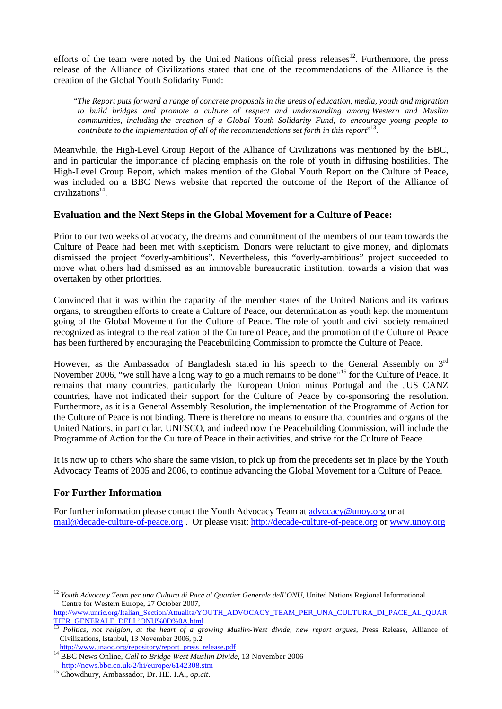efforts of the team were noted by the United Nations official press releases<sup>12</sup>. Furthermore, the press release of the Alliance of Civilizations stated that one of the recommendations of the Alliance is the creation of the Global Youth Solidarity Fund:

"*The Report puts forward a range of concrete proposals in the areas of education, media, youth and migration to build bridges and promote a culture of respect and understanding among Western and Muslim communities, including the creation of a Global Youth Solidarity Fund, to encourage young people to* contribute to the implementation of all of the recommendations set forth in this report"<sup>13</sup>.

Meanwhile, the High-Level Group Report of the Alliance of Civilizations was mentioned by the BBC, and in particular the importance of placing emphasis on the role of youth in diffusing hostilities. The High-Level Group Report, which makes mention of the Global Youth Report on the Culture of Peace, was included on a BBC News website that reported the outcome of the Report of the Alliance of civilizations $14$ .

#### **Evaluation and the Next Steps in the Global Movement for a Culture of Peace:**

Prior to our two weeks of advocacy, the dreams and commitment of the members of our team towards the Culture of Peace had been met with skepticism. Donors were reluctant to give money, and diplomats dismissed the project "overly-ambitious". Nevertheless, this "overly-ambitious" project succeeded to move what others had dismissed as an immovable bureaucratic institution, towards a vision that was overtaken by other priorities.

Convinced that it was within the capacity of the member states of the United Nations and its various organs, to strengthen efforts to create a Culture of Peace, our determination as youth kept the momentum going of the Global Movement for the Culture of Peace. The role of youth and civil society remained recognized as integral to the realization of the Culture of Peace, and the promotion of the Culture of Peace has been furthered by encouraging the Peacebuilding Commission to promote the Culture of Peace.

However, as the Ambassador of Bangladesh stated in his speech to the General Assembly on 3<sup>rd</sup> November 2006, "we still have a long way to go a much remains to be done"15 for the Culture of Peace. It remains that many countries, particularly the European Union minus Portugal and the JUS CANZ countries, have not indicated their support for the Culture of Peace by co-sponsoring the resolution. Furthermore, as it is a General Assembly Resolution, the implementation of the Programme of Action for the Culture of Peace is not binding. There is therefore no means to ensure that countries and organs of the United Nations, in particular, UNESCO, and indeed now the Peacebuilding Commission, will include the Programme of Action for the Culture of Peace in their activities, and strive for the Culture of Peace.

It is now up to others who share the same vision, to pick up from the precedents set in place by the Youth Advocacy Teams of 2005 and 2006, to continue advancing the Global Movement for a Culture of Peace.

#### **For Further Information**

For further information please contact the Youth Advocacy Team at advocacy@unoy.org or at mail@decade-culture-of-peace.org . Or please visit: http://decade-culture-of-peace.org or www.unoy.org

http://www.unric.org/Italian\_Section/Attualita/YOUTH\_ADVOCACY\_TEAM\_PER\_UNA\_CULTURA\_DI\_PACE\_AL\_QUAR TIER\_GENERALE\_DELL'ONU%0D%0A.html

 $\overline{a}$ <sup>12</sup> *Youth Advocacy Team per una Cultura di Pace al Quartier Generale dell'ONU*, United Nations Regional Informational Centre for Western Europe, 27 October 2007,

<sup>13</sup> *Politics, not religion, at the heart of a growing Muslim-West divide, new report argues*, Press Release, Alliance of Civilizations, Istanbul, 13 November 2006, p.2

http://www.unaoc.org/repository/report\_press\_release.pdf<br><sup>14</sup> BBC News Online, *Call to Bridge West Muslim Divide*, 13 November 2006<br>http://news.bbc.co.uk/2/hi/europe/6142308.stm

<sup>&</sup>lt;sup>15</sup> Chowdhury, Ambassador, Dr. HE. I.A., *op.cit*.